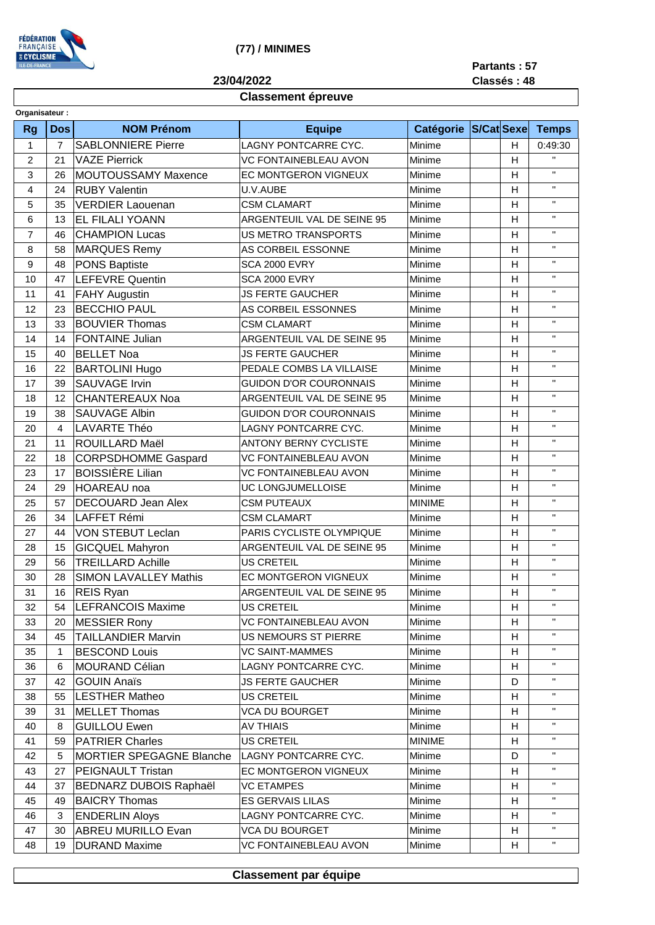

(77) / MINIMES

Partants: 57

Classés: 48

## 23/04/2022

## **Classement épreuve**

| Organisateur : |                |                                 |                               |                  |                   |                         |                    |
|----------------|----------------|---------------------------------|-------------------------------|------------------|-------------------|-------------------------|--------------------|
| <b>Rg</b>      | <b>Dos</b>     | <b>NOM Prénom</b>               | <b>Equipe</b>                 | <b>Catégorie</b> | <b>S/Cat Sexe</b> |                         | <b>Temps</b>       |
| 1              | $\overline{7}$ | <b>SABLONNIERE Pierre</b>       | LAGNY PONTCARRE CYC.          | Minime           |                   | $\mathsf{H}$            | 0:49:30            |
| $\overline{c}$ | 21             | <b>VAZE Pierrick</b>            | <b>VC FONTAINEBLEAU AVON</b>  | Minime           |                   | H                       | $\bar{\mathbf{H}}$ |
| 3              | 26             | MOUTOUSSAMY Maxence             | EC MONTGERON VIGNEUX          | Minime           |                   | Н                       | $\mathbf{H}$       |
| $\overline{4}$ | 24             | <b>RUBY Valentin</b>            | U.V.AUBE                      | Minime           |                   | $\mathsf{H}$            | $\bar{\mathbf{H}}$ |
| 5              | 35             | <b>VERDIER Laouenan</b>         | <b>CSM CLAMART</b>            | Minime           |                   | $\mathsf{H}$            | $\mathbf{H}$       |
| 6              | 13             | EL FILALI YOANN                 | ARGENTEUIL VAL DE SEINE 95    | Minime           |                   | $\mathsf{H}$            | $\mathbf{H}$       |
| $\overline{7}$ | 46             | <b>CHAMPION Lucas</b>           | US METRO TRANSPORTS           | Minime           |                   | $\mathsf{H}$            | $\mathbf{H}$       |
| 8              | 58             | <b>MARQUES Remy</b>             | AS CORBEIL ESSONNE            | Minime           |                   | H                       | $\mathbf{H}$       |
| 9              | 48             | <b>PONS Baptiste</b>            | <b>SCA 2000 EVRY</b>          | Minime           |                   | H                       | $\mathbf{H}$       |
| 10             | 47             | <b>LEFEVRE Quentin</b>          | <b>SCA 2000 EVRY</b>          | Minime           |                   | H                       | $\mathbf{H}$       |
| 11             | 41             | <b>FAHY Augustin</b>            | <b>JS FERTE GAUCHER</b>       | Minime           |                   | $\mathsf{H}$            | $\mathbf{H}$       |
| 12             | 23             | <b>BECCHIO PAUL</b>             | AS CORBEIL ESSONNES           | Minime           |                   | H                       | $\bar{\mathbf{H}}$ |
| 13             | 33             | <b>BOUVIER Thomas</b>           | <b>CSM CLAMART</b>            | Minime           |                   | H                       | $\mathbf{H}$       |
| 14             | 14             | <b>FONTAINE Julian</b>          | ARGENTEUIL VAL DE SEINE 95    | Minime           |                   | H                       | $\mathbf H$        |
| 15             | 40             | <b>BELLET Noa</b>               | <b>JS FERTE GAUCHER</b>       | Minime           |                   | H                       | $\mathbf H$        |
| 16             | 22             | <b>BARTOLINI Hugo</b>           | PEDALE COMBS LA VILLAISE      | Minime           |                   | $\mathsf{H}$            | $\mathbf{H}$       |
| 17             | 39             | <b>SAUVAGE Irvin</b>            | <b>GUIDON D'OR COURONNAIS</b> | Minime           |                   | H                       | $\mathbf H$        |
| 18             | 12             | <b>CHANTEREAUX Noa</b>          | ARGENTEUIL VAL DE SEINE 95    | Minime           |                   | H                       | $\mathbf{H}$       |
| 19             | 38             | <b>SAUVAGE Albin</b>            | <b>GUIDON D'OR COURONNAIS</b> | Minime           |                   | H                       | $\mathbf{H}$       |
| 20             | 4              | <b>LAVARTE Théo</b>             | LAGNY PONTCARRE CYC.          | Minime           |                   | $\mathsf{H}$            | $\bar{\mathbf{H}}$ |
| 21             | 11             | ROUILLARD Maël                  | <b>ANTONY BERNY CYCLISTE</b>  | Minime           |                   | $\overline{\mathsf{H}}$ | $\mathbf{H}$       |
| 22             | 18             | <b>CORPSDHOMME Gaspard</b>      | <b>VC FONTAINEBLEAU AVON</b>  | Minime           |                   | $\mathsf{H}$            | $\mathbf{H}$       |
| 23             | 17             | <b>BOISSIÈRE Lilian</b>         | VC FONTAINEBLEAU AVON         | Minime           |                   | $\mathsf{H}$            | $\bar{\mathbf{H}}$ |
| 24             | 29             | <b>HOAREAU</b> noa              | UC LONGJUMELLOISE             | Minime           |                   | $\mathsf{H}$            | $\mathbf{H}$       |
| 25             | 57             | <b>DECOUARD Jean Alex</b>       | <b>CSM PUTEAUX</b>            | <b>MINIME</b>    |                   | H                       | $\mathbf H$        |
| 26             | 34             | LAFFET Rémi                     | <b>CSM CLAMART</b>            | Minime           |                   | $\mathsf{H}$            | $\mathbf{H}$       |
| 27             | 44             | VON STEBUT Leclan               | PARIS CYCLISTE OLYMPIQUE      | Minime           |                   | $\mathsf{H}$            | $\mathbf{H}$       |
| 28             | 15             | <b>GICQUEL Mahyron</b>          | ARGENTEUIL VAL DE SEINE 95    | Minime           |                   | $\mathsf{H}$            | $\mathbf{H}$       |
| 29             | 56             | <b>TREILLARD Achille</b>        | <b>US CRETEIL</b>             | Minime           |                   | $\overline{\mathsf{H}}$ | $\mathbf{H}$       |
| 30             | 28             | <b>SIMON LAVALLEY Mathis</b>    | EC MONTGERON VIGNEUX          | Minime           |                   | H                       | $\mathbf{H}$       |
| 31             | 16             | <b>REIS Ryan</b>                | ARGENTEUIL VAL DE SEINE 95    | Minime           |                   | $\mathsf{H}$            | $\mathbf H$        |
| 32             | 54             | <b>LEFRANCOIS Maxime</b>        | <b>US CRETEIL</b>             | Minime           |                   | H.                      | $\mathbf{H}$       |
| 33             | 20             | <b>MESSIER Rony</b>             | VC FONTAINEBLEAU AVON         | Minime           |                   | H                       | $\mathbf H$        |
| 34             | 45             | <b>TAILLANDIER Marvin</b>       | <b>US NEMOURS ST PIERRE</b>   | Minime           |                   | H                       | $\mathbf{H}$       |
| 35             | 1              | <b>BESCOND Louis</b>            | <b>VC SAINT-MAMMES</b>        | Minime           |                   | н                       | $\mathbf{H}$       |
| 36             | 6              | <b>MOURAND Célian</b>           | LAGNY PONTCARRE CYC.          | Minime           |                   | H                       | $\mathbf{H}$       |
| 37             | 42             | <b>GOUIN Anaïs</b>              | <b>JS FERTE GAUCHER</b>       | Minime           |                   | D                       | $\mathbf{H}$       |
| 38             | 55             | <b>LESTHER Matheo</b>           | <b>US CRETEIL</b>             | Minime           |                   | H                       | $\mathbf{H}$       |
| 39             | 31             | <b>MELLET Thomas</b>            | <b>VCA DU BOURGET</b>         | Minime           |                   | H                       | $\mathbf{H}$       |
| 40             | 8              | <b>GUILLOU Ewen</b>             | <b>AV THIAIS</b>              | Minime           |                   | н                       | $\mathbf H$        |
| 41             | 59             | <b>PATRIER Charles</b>          | <b>US CRETEIL</b>             | <b>MINIME</b>    |                   | H                       | $\mathbf{H}$       |
| 42             |                | <b>MORTIER SPEGAGNE Blanche</b> |                               |                  |                   | D                       | $\mathbf H$        |
|                | 5              |                                 | LAGNY PONTCARRE CYC.          | Minime           |                   |                         | $\mathbf{H}$       |
| 43             | 27             | <b>PEIGNAULT Tristan</b>        | EC MONTGERON VIGNEUX          | Minime           |                   | н                       | $\mathbf H$        |
| 44             | 37             | <b>BEDNARZ DUBOIS Raphaël</b>   | <b>VC ETAMPES</b>             | Minime           |                   | н                       | $\mathbf{H}$       |
| 45             | 49             | <b>BAICRY Thomas</b>            | <b>ES GERVAIS LILAS</b>       | Minime           |                   | н                       | $\mathbf H$        |
| 46             | 3              | <b>ENDERLIN Aloys</b>           | LAGNY PONTCARRE CYC.          | Minime           |                   | H                       | $\mathbf{H}$       |
| 47             | 30             | <b>ABREU MURILLO Evan</b>       | <b>VCA DU BOURGET</b>         | Minime           |                   | н                       |                    |
| 48             | 19             | <b>DURAND Maxime</b>            | VC FONTAINEBLEAU AVON         | Minime           |                   | H                       | $\mathbf H$        |

## Classement par équipe